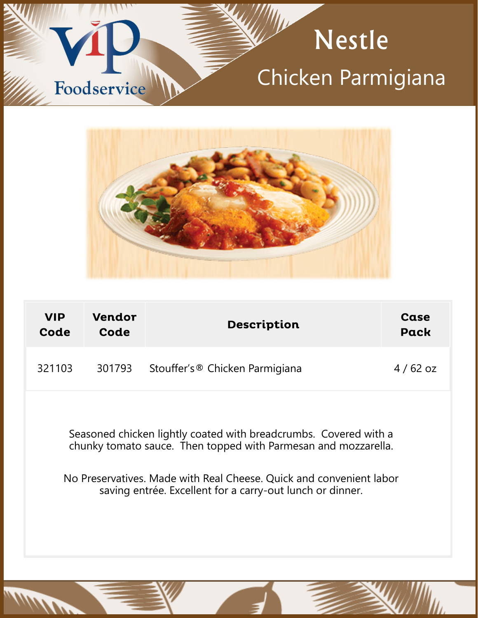



| <b>VIP</b><br>Code | Vendor<br>Code                                                                                                                                                                                                                                                         | <b>Description</b>                         | Case<br>Pack |
|--------------------|------------------------------------------------------------------------------------------------------------------------------------------------------------------------------------------------------------------------------------------------------------------------|--------------------------------------------|--------------|
| 321103             | 301793                                                                                                                                                                                                                                                                 | Stouffer's <sup>®</sup> Chicken Parmigiana | $4/62$ oz    |
|                    | Seasoned chicken lightly coated with breadcrumbs. Covered with a<br>chunky tomato sauce. Then topped with Parmesan and mozzarella.<br>No Preservatives. Made with Real Cheese. Quick and convenient labor<br>saving entrée. Excellent for a carry-out lunch or dinner. |                                            |              |

**MARITA**